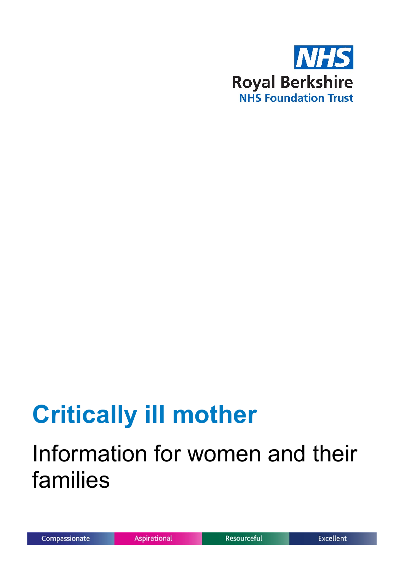

# **Critically ill mother**

## Information for women and their families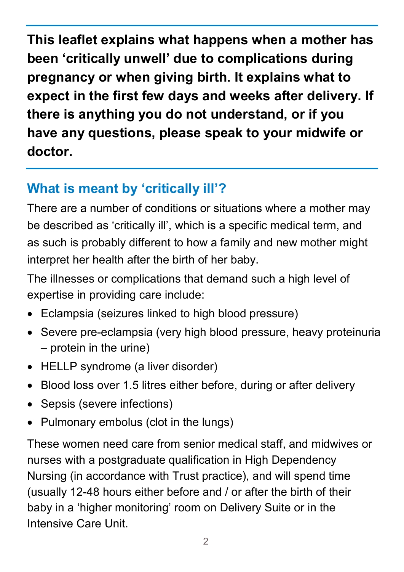**This leaflet explains what happens when a mother has been 'critically unwell' due to complications during pregnancy or when giving birth. It explains what to expect in the first few days and weeks after delivery. If there is anything you do not understand, or if you have any questions, please speak to your midwife or doctor.**

### **What is meant by 'critically ill'?**

There are a number of conditions or situations where a mother may be described as 'critically ill', which is a specific medical term, and as such is probably different to how a family and new mother might interpret her health after the birth of her baby.

The illnesses or complications that demand such a high level of expertise in providing care include:

- Eclampsia (seizures linked to high blood pressure)
- Severe pre-eclampsia (very high blood pressure, heavy proteinuria – protein in the urine)
- HELLP syndrome (a liver disorder)
- Blood loss over 1.5 litres either before, during or after delivery
- Sepsis (severe infections)
- Pulmonary embolus (clot in the lungs)

These women need care from senior medical staff, and midwives or nurses with a postgraduate qualification in High Dependency Nursing (in accordance with Trust practice), and will spend time (usually 12-48 hours either before and / or after the birth of their baby in a 'higher monitoring' room on Delivery Suite or in the Intensive Care Unit.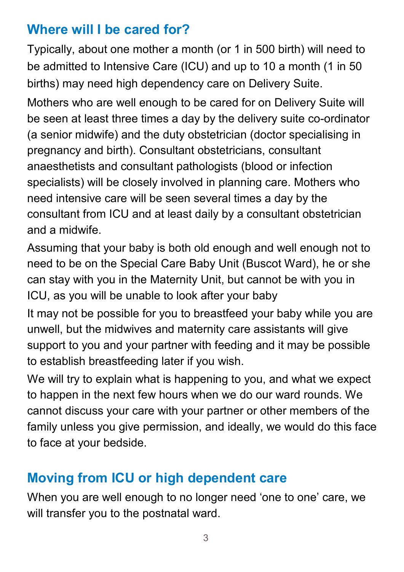#### **Where will I be cared for?**

Typically, about one mother a month (or 1 in 500 birth) will need to be admitted to Intensive Care (ICU) and up to 10 a month (1 in 50 births) may need high dependency care on Delivery Suite.

Mothers who are well enough to be cared for on Delivery Suite will be seen at least three times a day by the delivery suite co-ordinator (a senior midwife) and the duty obstetrician (doctor specialising in pregnancy and birth). Consultant obstetricians, consultant anaesthetists and consultant pathologists (blood or infection specialists) will be closely involved in planning care. Mothers who need intensive care will be seen several times a day by the consultant from ICU and at least daily by a consultant obstetrician and a midwife.

Assuming that your baby is both old enough and well enough not to need to be on the Special Care Baby Unit (Buscot Ward), he or she can stay with you in the Maternity Unit, but cannot be with you in ICU, as you will be unable to look after your baby

It may not be possible for you to breastfeed your baby while you are unwell, but the midwives and maternity care assistants will give support to you and your partner with feeding and it may be possible to establish breastfeeding later if you wish.

We will try to explain what is happening to you, and what we expect to happen in the next few hours when we do our ward rounds. We cannot discuss your care with your partner or other members of the family unless you give permission, and ideally, we would do this face to face at your bedside.

#### **Moving from ICU or high dependent care**

When you are well enough to no longer need 'one to one' care, we will transfer you to the postnatal ward.